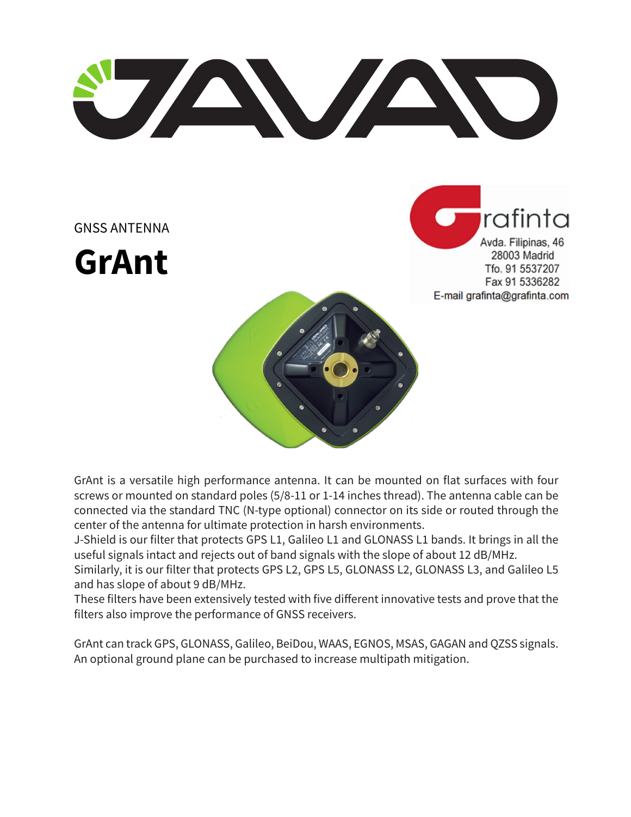U AVAND

GNSS ANTENNA

**GrAnt**

rafinta Avda. Filipinas, 46 28003 Madrid Tfo. 91 5537207 Fax 91 5336282 E-mail grafinta@grafinta.com

GrAnt is a versatile high performance antenna. It can be mounted on flat surfaces with four screws or mounted on standard poles (5/8-11 or 1-14 inches thread). The antenna cable can be connected via the standard TNC (N-type optional) connector on its side or routed through the center of the antenna for ultimate protection in harsh environments.

J-Shield is our filter that protects GPS L1, Galileo L1 and GLONASS L1 bands. It brings in all the useful signals intact and rejects out of band signals with the slope of about 12 dB/MHz.

Similarly, it is our filter that protects GPS L2, GPS L5, GLONASS L2, GLONASS L3, and Galileo L5 and has slope of about 9 dB/MHz.

These filters have been extensively tested with five different innovative tests and prove that the filters also improve the performance of GNSS receivers.

GrAnt can track GPS, GLONASS, Galileo, BeiDou, WAAS, EGNOS, MSAS, GAGAN and QZSS signals. An optional ground plane can be purchased to increase multipath mitigation.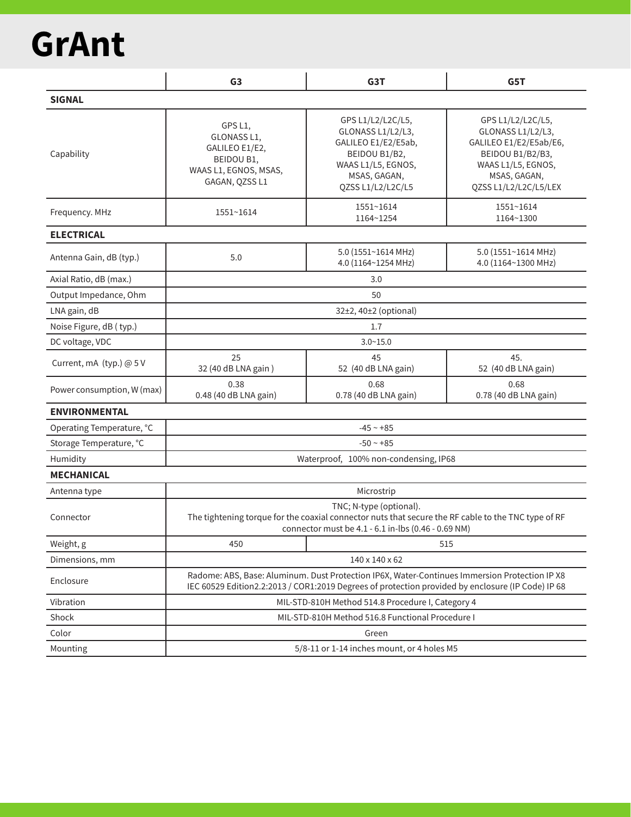## **GrAnt**

|                            | G <sub>3</sub>                                                                                                                                                                                     | G <sub>3</sub> T                                                                                                                          | G5T                                                                                                                                                 |  |  |  |
|----------------------------|----------------------------------------------------------------------------------------------------------------------------------------------------------------------------------------------------|-------------------------------------------------------------------------------------------------------------------------------------------|-----------------------------------------------------------------------------------------------------------------------------------------------------|--|--|--|
| <b>SIGNAL</b>              |                                                                                                                                                                                                    |                                                                                                                                           |                                                                                                                                                     |  |  |  |
| Capability                 | GPS L1,<br>GLONASS L1,<br>GALILEO E1/E2,<br>BEIDOU B1,<br>WAAS L1, EGNOS, MSAS,<br>GAGAN, QZSS L1                                                                                                  | GPS L1/L2/L2C/L5,<br>GLONASS L1/L2/L3,<br>GALILEO E1/E2/E5ab,<br>BEIDOU B1/B2,<br>WAAS L1/L5, EGNOS,<br>MSAS, GAGAN,<br>QZSS L1/L2/L2C/L5 | GPS L1/L2/L2C/L5,<br>GLONASS L1/L2/L3,<br>GALILEO E1/E2/E5ab/E6,<br>BEIDOU B1/B2/B3,<br>WAAS L1/L5, EGNOS,<br>MSAS, GAGAN,<br>QZSS L1/L2/L2C/L5/LEX |  |  |  |
| Frequency. MHz             | 1551~1614                                                                                                                                                                                          | 1551~1614<br>1164~1254                                                                                                                    | 1551~1614<br>1164~1300                                                                                                                              |  |  |  |
| <b>ELECTRICAL</b>          |                                                                                                                                                                                                    |                                                                                                                                           |                                                                                                                                                     |  |  |  |
| Antenna Gain, dB (typ.)    | 5.0                                                                                                                                                                                                | 5.0 (1551~1614 MHz)<br>4.0 (1164~1254 MHz)                                                                                                | 5.0 (1551~1614 MHz)<br>4.0 (1164~1300 MHz)                                                                                                          |  |  |  |
| Axial Ratio, dB (max.)     | 3.0                                                                                                                                                                                                |                                                                                                                                           |                                                                                                                                                     |  |  |  |
| Output Impedance, Ohm      | 50                                                                                                                                                                                                 |                                                                                                                                           |                                                                                                                                                     |  |  |  |
| LNA gain, dB               | 32±2, 40±2 (optional)                                                                                                                                                                              |                                                                                                                                           |                                                                                                                                                     |  |  |  |
| Noise Figure, dB (typ.)    | 1.7                                                                                                                                                                                                |                                                                                                                                           |                                                                                                                                                     |  |  |  |
| DC voltage, VDC            | $3.0 - 15.0$                                                                                                                                                                                       |                                                                                                                                           |                                                                                                                                                     |  |  |  |
| Current, mA (typ.) @ 5 V   | 25<br>32 (40 dB LNA gain)                                                                                                                                                                          | 45<br>52 (40 dB LNA gain)                                                                                                                 | 45.<br>52 (40 dB LNA gain)                                                                                                                          |  |  |  |
| Power consumption, W (max) | 0.38<br>0.48 (40 dB LNA gain)                                                                                                                                                                      | 0.68<br>0.78 (40 dB LNA gain)                                                                                                             | 0.68<br>0.78 (40 dB LNA gain)                                                                                                                       |  |  |  |
| <b>ENVIRONMENTAL</b>       |                                                                                                                                                                                                    |                                                                                                                                           |                                                                                                                                                     |  |  |  |
| Operating Temperature, °C  | $-45 - +85$                                                                                                                                                                                        |                                                                                                                                           |                                                                                                                                                     |  |  |  |
| Storage Temperature, °C    | $-50 - +85$                                                                                                                                                                                        |                                                                                                                                           |                                                                                                                                                     |  |  |  |
| Humidity                   | Waterproof, 100% non-condensing, IP68                                                                                                                                                              |                                                                                                                                           |                                                                                                                                                     |  |  |  |
| <b>MECHANICAL</b>          |                                                                                                                                                                                                    |                                                                                                                                           |                                                                                                                                                     |  |  |  |
| Antenna type               | Microstrip                                                                                                                                                                                         |                                                                                                                                           |                                                                                                                                                     |  |  |  |
| Connector                  | TNC; N-type (optional).<br>The tightening torque for the coaxial connector nuts that secure the RF cable to the TNC type of RF<br>connector must be 4.1 - 6.1 in-lbs (0.46 - 0.69 NM)              |                                                                                                                                           |                                                                                                                                                     |  |  |  |
| Weight, g                  | 450                                                                                                                                                                                                | 515                                                                                                                                       |                                                                                                                                                     |  |  |  |
| Dimensions, mm             | 140 x 140 x 62                                                                                                                                                                                     |                                                                                                                                           |                                                                                                                                                     |  |  |  |
| Enclosure                  | Radome: ABS, Base: Aluminum. Dust Protection IP6X, Water-Continues Immersion Protection IP X8<br>IEC 60529 Edition2.2:2013 / COR1:2019 Degrees of protection provided by enclosure (IP Code) IP 68 |                                                                                                                                           |                                                                                                                                                     |  |  |  |
| Vibration                  | MIL-STD-810H Method 514.8 Procedure I, Category 4                                                                                                                                                  |                                                                                                                                           |                                                                                                                                                     |  |  |  |
| Shock                      | MIL-STD-810H Method 516.8 Functional Procedure I                                                                                                                                                   |                                                                                                                                           |                                                                                                                                                     |  |  |  |
| Color                      | Green                                                                                                                                                                                              |                                                                                                                                           |                                                                                                                                                     |  |  |  |
| Mounting                   | 5/8-11 or 1-14 inches mount, or 4 holes M5                                                                                                                                                         |                                                                                                                                           |                                                                                                                                                     |  |  |  |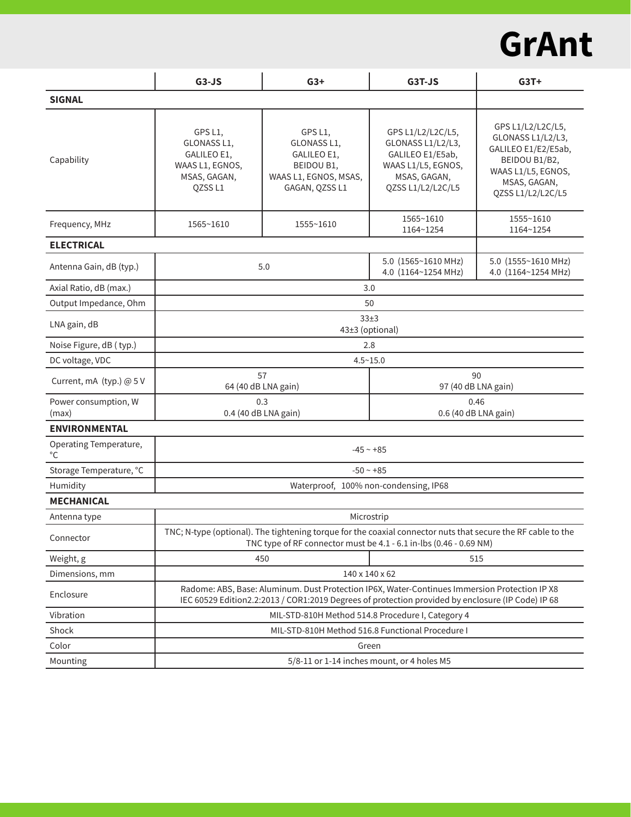## **GrAnt**

|                               | $G3-JS$                                                                                                                                                                                            | $G3+$                                                                                          | G3T-JS                                                                                                                | $G3T+$                                                                                                                                    |  |  |
|-------------------------------|----------------------------------------------------------------------------------------------------------------------------------------------------------------------------------------------------|------------------------------------------------------------------------------------------------|-----------------------------------------------------------------------------------------------------------------------|-------------------------------------------------------------------------------------------------------------------------------------------|--|--|
| <b>SIGNAL</b>                 |                                                                                                                                                                                                    |                                                                                                |                                                                                                                       |                                                                                                                                           |  |  |
| Capability                    | GPS L1,<br>GLONASS L1,<br>GALILEO E1,<br>WAAS L1, EGNOS,<br>MSAS, GAGAN,<br>QZSSL1                                                                                                                 | GPS L1,<br>GLONASS L1,<br>GALILEO E1,<br>BEIDOU B1,<br>WAAS L1, EGNOS, MSAS,<br>GAGAN, QZSS L1 | GPS L1/L2/L2C/L5,<br>GLONASS L1/L2/L3,<br>GALILEO E1/E5ab,<br>WAAS L1/L5, EGNOS,<br>MSAS, GAGAN,<br>QZSS L1/L2/L2C/L5 | GPS L1/L2/L2C/L5,<br>GLONASS L1/L2/L3,<br>GALILEO E1/E2/E5ab,<br>BEIDOU B1/B2,<br>WAAS L1/L5, EGNOS,<br>MSAS, GAGAN,<br>QZSS L1/L2/L2C/L5 |  |  |
| Frequency, MHz                | 1565~1610                                                                                                                                                                                          | 1555~1610                                                                                      | 1565~1610<br>1164~1254                                                                                                | 1555~1610<br>1164~1254                                                                                                                    |  |  |
| <b>ELECTRICAL</b>             |                                                                                                                                                                                                    |                                                                                                |                                                                                                                       |                                                                                                                                           |  |  |
| Antenna Gain, dB (typ.)       |                                                                                                                                                                                                    | 5.0                                                                                            | 5.0 (1565~1610 MHz)<br>4.0 (1164~1254 MHz)                                                                            | 5.0 (1555~1610 MHz)<br>4.0 (1164~1254 MHz)                                                                                                |  |  |
| Axial Ratio, dB (max.)        | 3.0                                                                                                                                                                                                |                                                                                                |                                                                                                                       |                                                                                                                                           |  |  |
| Output Impedance, Ohm         | 50                                                                                                                                                                                                 |                                                                                                |                                                                                                                       |                                                                                                                                           |  |  |
| LNA gain, dB                  | 33±3<br>43±3 (optional)                                                                                                                                                                            |                                                                                                |                                                                                                                       |                                                                                                                                           |  |  |
| Noise Figure, dB (typ.)       | 2.8                                                                                                                                                                                                |                                                                                                |                                                                                                                       |                                                                                                                                           |  |  |
| DC voltage, VDC               | $4.5 - 15.0$                                                                                                                                                                                       |                                                                                                |                                                                                                                       |                                                                                                                                           |  |  |
| Current, mA (typ.) @ 5 V      | 57<br>64 (40 dB LNA gain)                                                                                                                                                                          |                                                                                                | 90<br>97 (40 dB LNA gain)                                                                                             |                                                                                                                                           |  |  |
| Power consumption, W<br>(max) | 0.3<br>0.4 (40 dB LNA gain)                                                                                                                                                                        |                                                                                                | 0.46<br>0.6 (40 dB LNA gain)                                                                                          |                                                                                                                                           |  |  |
| <b>ENVIRONMENTAL</b>          |                                                                                                                                                                                                    |                                                                                                |                                                                                                                       |                                                                                                                                           |  |  |
| Operating Temperature,<br>°C  | $-45 - +85$                                                                                                                                                                                        |                                                                                                |                                                                                                                       |                                                                                                                                           |  |  |
| Storage Temperature, °C       | $-50 - +85$                                                                                                                                                                                        |                                                                                                |                                                                                                                       |                                                                                                                                           |  |  |
| Humidity                      | Waterproof, 100% non-condensing, IP68                                                                                                                                                              |                                                                                                |                                                                                                                       |                                                                                                                                           |  |  |
| <b>MECHANICAL</b>             |                                                                                                                                                                                                    |                                                                                                |                                                                                                                       |                                                                                                                                           |  |  |
| Antenna type                  | Microstrip                                                                                                                                                                                         |                                                                                                |                                                                                                                       |                                                                                                                                           |  |  |
| Connector                     | TNC; N-type (optional). The tightening torque for the coaxial connector nuts that secure the RF cable to the<br>TNC type of RF connector must be 4.1 - 6.1 in-lbs (0.46 - 0.69 NM)                 |                                                                                                |                                                                                                                       |                                                                                                                                           |  |  |
| Weight, g                     | 450                                                                                                                                                                                                |                                                                                                | 515                                                                                                                   |                                                                                                                                           |  |  |
| Dimensions, mm                | 140 x 140 x 62                                                                                                                                                                                     |                                                                                                |                                                                                                                       |                                                                                                                                           |  |  |
| Enclosure                     | Radome: ABS, Base: Aluminum. Dust Protection IP6X, Water-Continues Immersion Protection IP X8<br>IEC 60529 Edition2.2:2013 / COR1:2019 Degrees of protection provided by enclosure (IP Code) IP 68 |                                                                                                |                                                                                                                       |                                                                                                                                           |  |  |
| Vibration                     | MIL-STD-810H Method 514.8 Procedure I, Category 4                                                                                                                                                  |                                                                                                |                                                                                                                       |                                                                                                                                           |  |  |
| Shock                         | MIL-STD-810H Method 516.8 Functional Procedure I                                                                                                                                                   |                                                                                                |                                                                                                                       |                                                                                                                                           |  |  |
| Color                         | Green                                                                                                                                                                                              |                                                                                                |                                                                                                                       |                                                                                                                                           |  |  |
| Mounting                      | 5/8-11 or 1-14 inches mount, or 4 holes M5                                                                                                                                                         |                                                                                                |                                                                                                                       |                                                                                                                                           |  |  |